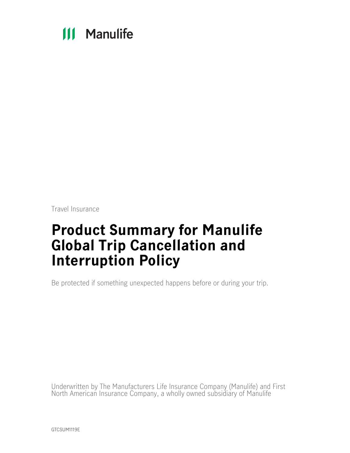# **111 Manulife**

Travel Insurance

# **Product Summary for Manulife Global Trip Cancellation and Interruption Policy**

Be protected if something unexpected happens before or during your trip.

Underwritten by The Manufacturers Life Insurance Company (Manulife) and First North American Insurance Company, a wholly owned subsidiary of Manulife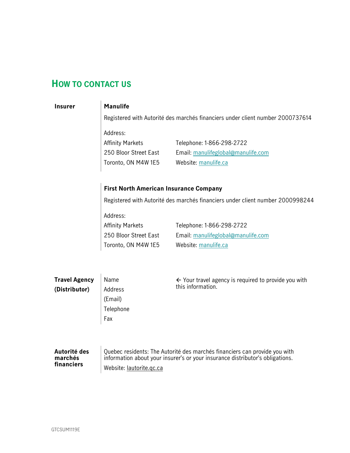## <span id="page-1-0"></span>**HOW TO CONTACT US**

## **Insurer Manulife**

Registered with Autorité des marchés financiers under client number 2000737614

Address: Affinity Markets

250 Bloor Street East Toronto, ON M4W 1E5 Telephone: 1-866-298-2722 Email: manulifeglobal@manulife.com Website: [manulife.ca](http://manulife.ca/)

## **First North American Insurance Company**

Registered with Autorité des marchés financiers under client number 2000998244

Address: Affinity Markets 250 Bloor Street East

Toronto, ON M4W 1E5

Telephone: 1-866-298-2722 Email: manulifeglobal@manulife.com Website: [manulife.ca](http://manulife.ca/)

| <b>Travel Agency</b> | Name      | $\leftarrow$ Your travel agency is required to provide you with            |
|----------------------|-----------|----------------------------------------------------------------------------|
| (Distributor)        | Address   | this information.                                                          |
|                      | (Email)   |                                                                            |
|                      | Telephone |                                                                            |
|                      | Fax       |                                                                            |
|                      |           |                                                                            |
|                      |           |                                                                            |
| Autorité des         |           | Quebec residents: The Autorité des marchés financiers can provide you with |

## **marchés financiers**

Quebec residents: The Autorité des marchés financiers can provide you with information about your insurer's or your insurance distributor's obligations. Website: [lautorite.qc.ca](https://lautorite.qc.ca/)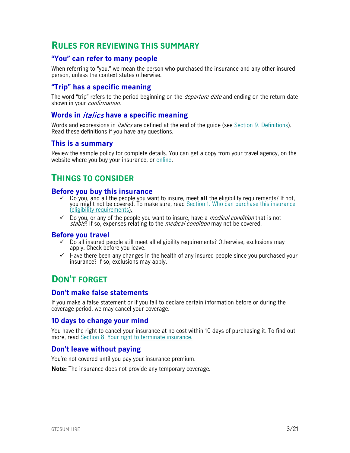## <span id="page-2-0"></span>**RULES FOR REVIEWING THIS SUMMARY**

## <span id="page-2-1"></span>**"You" can refer to many people**

When referring to "you," we mean the person who purchased the insurance and any other insured person, unless the context states otherwise.

## <span id="page-2-2"></span>**"Trip" has a specific meaning**

The word "trip" refers to the period beginning on the *departure date* and ending on the return date shown in your *confirmation*.

### <span id="page-2-3"></span>**Words in** italics **have a specific meaning**

Words and expressions in *italics* are defined at the end of the guide (see Section [9. Definitions\)](#page-18-0). Read these definitions if you have any questions.

### <span id="page-2-4"></span>**This is a summary**

Review the sample policy for complete details. You can get a copy from your travel agency, on the website where you buy your insurance, or [online.](https://www.igoinsured.com/travelcontent/?file=MS-MC_MS-GCS_policyTCI.pdf)

## <span id="page-2-5"></span>**THINGS TO CONSIDER**

### <span id="page-2-6"></span>**Before you buy this insurance**

- Do you, and all the people you want to insure, meet **all** the eligibility requirements? If not, you might not be covered. To make sure, read Section [1. Who can purchase this insurance](#page-5-0)  [\(eligibility requirements\)](#page-5-0).
- $\checkmark$  Do you, or any of the people you want to insure, have a *medical condition* that is not stable? If so, expenses relating to the *medical condition* may not be covered.

#### <span id="page-2-7"></span>**Before you travel**

- $\checkmark$  Do all insured people still meet all eligibility requirements? Otherwise, exclusions may apply. Check before you leave.
- $\checkmark$  Have there been any changes in the health of any insured people since you purchased your insurance? If so, exclusions may apply.

## <span id="page-2-8"></span>**DON'T FORGET**

### <span id="page-2-9"></span>**Don't make false statements**

If you make a false statement or if you fail to declare certain information before or during the coverage period, we may cancel your coverage.

### <span id="page-2-10"></span>**10 days to change your mind**

You have the right to cancel your insurance at no cost within 10 days of purchasing it. To find out more, read [Section 8. Your right to terminate insurance.](#page-17-0)

## <span id="page-2-11"></span>**Don't leave without paying**

You're not covered until you pay your insurance premium.

**Note:** The insurance does not provide any temporary coverage.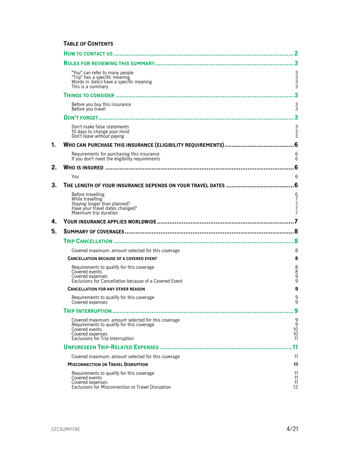### **TABLE OF CONTENTS**

|    |                                                                                                                                                                           | 2                                            |
|----|---------------------------------------------------------------------------------------------------------------------------------------------------------------------------|----------------------------------------------|
|    |                                                                                                                                                                           |                                              |
|    | "You" can refer to many people<br>"Trip" has a specific meaning<br>Words in <i>italics</i> have a specific meaning<br>This is a summary                                   | 3333                                         |
|    |                                                                                                                                                                           | 3                                            |
|    | Before you buy this insurance<br>Before vou travel                                                                                                                        | $\frac{3}{3}$                                |
|    |                                                                                                                                                                           | 3                                            |
|    | Don't make false statements<br>10 days to change your mind<br>Don't leave without paying                                                                                  | 3<br>3<br>3                                  |
| 1. |                                                                                                                                                                           |                                              |
|    | Requirements for purchasing this insurance<br>If you don't meet the eligibility requirements                                                                              | 6<br>6                                       |
| 2. |                                                                                                                                                                           | 6                                            |
|    | You                                                                                                                                                                       | 6                                            |
| 3. |                                                                                                                                                                           | .6                                           |
|    | Before travelling<br>While travelling<br>Staying longer than planned?<br>Have your travel dates changed?<br>Maximum trip duration                                         | 6<br>7<br>7<br>7<br>7                        |
| 4. |                                                                                                                                                                           |                                              |
| 5. |                                                                                                                                                                           |                                              |
|    |                                                                                                                                                                           |                                              |
|    | Covered maximum: amount selected for this coverage                                                                                                                        | 8                                            |
|    | <b>CANCELLATION BECAUSE OF A COVERED EVENT</b>                                                                                                                            | 8                                            |
|    | Requirements to qualify for this coverage<br>Covered events<br>Covered expenses<br>Exclusions for Cancellation because of a Covered Event                                 | 8889                                         |
|    | <b>CANCELLATION FOR ANY OTHER REASON</b>                                                                                                                                  | 9                                            |
|    | Requirements to qualify for this coverage<br>Covered expenses                                                                                                             | 9<br>9                                       |
|    |                                                                                                                                                                           | 9                                            |
|    | Covered maximum: amount selected for this coverage<br>Requirements to qualify for this coverage<br>Covered events<br>Covered expenses<br>Exclusions for Trip Interruption | 9<br>$\frac{9}{10}$<br>10 <sup>2</sup><br>11 |
|    |                                                                                                                                                                           | $\overline{11}$                              |
|    | Covered maximum: amount selected for this coverage                                                                                                                        | 11                                           |
|    |                                                                                                                                                                           |                                              |
|    | <b>MISCONNECTION OR TRAVEL DISRUPTION</b>                                                                                                                                 | 11                                           |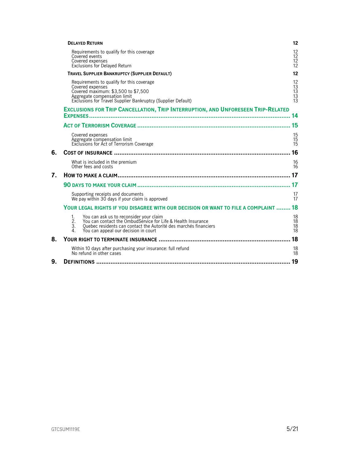|    | <b>DELAYED RETURN</b>                                                                                                                                                                                                                                  | 12                                |
|----|--------------------------------------------------------------------------------------------------------------------------------------------------------------------------------------------------------------------------------------------------------|-----------------------------------|
|    | Requirements to qualify for this coverage<br>Covered events<br>Covered expenses<br><b>Exclusions for Delayed Return</b>                                                                                                                                | 12<br>$\frac{12}{12}$<br>12       |
|    | <b>TRAVEL SUPPLIER BANKRUPTCY (SUPPLIER DEFAULT)</b>                                                                                                                                                                                                   | 12                                |
|    | Requirements to qualify for this coverage<br>Covered expenses<br>Covered maximum: \$3,500 to \$7,500<br>Aggregate compensation limit<br>Exclusions for Travel Supplier Bankruptcy (Supplier Default)                                                   | 12<br>13<br>13<br>$\frac{13}{13}$ |
|    | <b>EXCLUSIONS FOR TRIP CANCELLATION, TRIP INTERRUPTION, AND UNFORESEEN TRIP-RELATED</b>                                                                                                                                                                |                                   |
|    |                                                                                                                                                                                                                                                        |                                   |
|    |                                                                                                                                                                                                                                                        | 15                                |
|    | Covered expenses<br>Aggregate compensation limit<br>Exclusions for Act of Terrorism Coverage                                                                                                                                                           | 15<br>15<br>15                    |
| 6. |                                                                                                                                                                                                                                                        | 16                                |
|    | What is included in the premium<br>Other fees and costs                                                                                                                                                                                                | 16<br>16                          |
| 7. |                                                                                                                                                                                                                                                        |                                   |
|    |                                                                                                                                                                                                                                                        | 17                                |
|    | Supporting receipts and documents<br>We pay within 30 days if your claim is approved                                                                                                                                                                   | 17<br>17                          |
|    | YOUR LEGAL RIGHTS IF YOU DISAGREE WITH OUR DECISION OR WANT TO FILE A COMPLAINT  18                                                                                                                                                                    |                                   |
|    | $\mathbf{1}$ .<br>You can ask us to reconsider your claim<br>You can contact the OmbudService for Life & Health Insurance<br>2.<br>Quebec residents can contact the Autorité des marchés financiers<br>3.<br>You can appeal our decision in court<br>4 | 18<br>18<br>18<br>18              |
| 8. |                                                                                                                                                                                                                                                        | 18                                |
|    | Within 10 days after purchasing your insurance: full refund<br>No refund in other cases                                                                                                                                                                | 18<br>18                          |
| 9. |                                                                                                                                                                                                                                                        | 19                                |
|    |                                                                                                                                                                                                                                                        |                                   |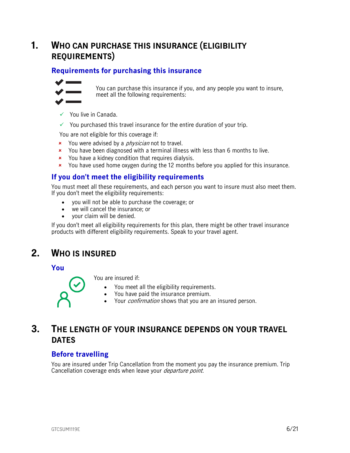## <span id="page-5-0"></span>**1. WHO CAN PURCHASE THIS INSURANCE (ELIGIBILITY REQUIREMENTS)**

## <span id="page-5-1"></span>**Requirements for purchasing this insurance**



You can purchase this insurance if you, and any people you want to insure, meet all the following requirements:

- $\checkmark$  You live in Canada.
- $\checkmark$  You purchased this travel insurance for the entire duration of your trip.

You are not eligible for this coverage if:

- **x** You were advised by a *physician* not to travel.
- **x** You have been diagnosed with a terminal illness with less than 6 months to live.
- **\*** You have a kidney condition that requires dialysis.
- You have used home oxygen during the 12 months before you applied for this insurance.

## <span id="page-5-2"></span>**If you don't meet the eligibility requirements**

You must meet all these requirements, and each person you want to insure must also meet them. If you don't meet the eligibility requirements:

- you will not be able to purchase the coverage; or
- we will cancel the insurance; or
- your claim will be denied.

<span id="page-5-3"></span>If you don't meet all eligibility requirements for this plan, there might be other travel insurance products with different eligibility requirements. Speak to your travel agent.

## **2. WHO IS INSURED**

<span id="page-5-4"></span>**You**

You are insured if:

- You meet all the eligibility requirements.
- You have paid the insurance premium.
- Your *confirmation* shows that you are an insured person.

## <span id="page-5-5"></span>**3. THE LENGTH OF YOUR INSURANCE DEPENDS ON YOUR TRAVEL DATES**

## <span id="page-5-6"></span>**Before travelling**

You are insured under Trip Cancellation from the moment you pay the insurance premium. Trip Cancellation coverage ends when leave your *departure point*.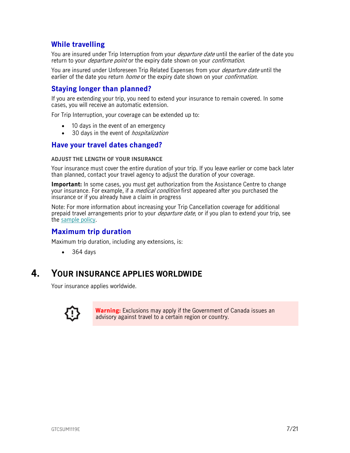## <span id="page-6-0"></span>**While travelling**

You are insured under Trip Interruption from your *departure date* until the earlier of the date you return to your *departure point* or the expiry date shown on your *confirmation*.

You are insured under Unforeseen Trip Related Expenses from your *departure date* until the earlier of the date you return *home* or the expiry date shown on your *confirmation*.

## <span id="page-6-1"></span>**Staying longer than planned?**

If you are extending your trip, you need to extend your insurance to remain covered. In some cases, you will receive an automatic extension.

For Trip Interruption, your coverage can be extended up to:

- 10 days in the event of an emergency
- 30 days in the event of *hospitalization*

## <span id="page-6-2"></span>**Have your travel dates changed?**

#### **ADJUST THE LENGTH OF YOUR INSURANCE**

Your insurance must cover the entire duration of your trip. If you leave earlier or come back later than planned, contact your travel agency to adjust the duration of your coverage.

**Important:** In some cases, you must get authorization from the Assistance Centre to change your insurance. For example, if a *medical condition* first appeared after you purchased the insurance or if you already have a claim in progress

Note: For more information about increasing your Trip Cancellation coverage for additional prepaid travel arrangements prior to your *departure date*, or if you plan to extend your trip, see the [sample policy.](https://www.igoinsured.com/travelcontent/?file=MS-MC_MS-GCS_policyTCI.pdf)

## <span id="page-6-3"></span>**Maximum trip duration**

Maximum trip duration, including any extensions, is:

<span id="page-6-4"></span> $• 364 days$ 

## **4. YOUR INSURANCE APPLIES WORLDWIDE**

Your insurance applies worldwide.



**Warning:** Exclusions may apply if the Government of Canada issues an advisory against travel to a certain region or country.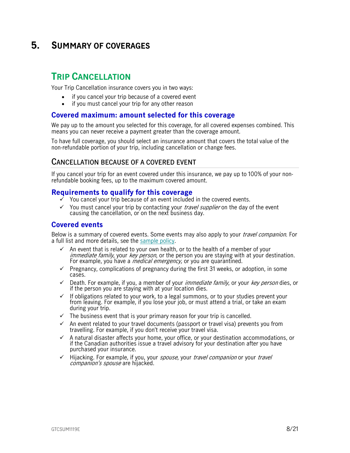## <span id="page-7-0"></span>**5. SUMMARY OF COVERAGES**

## <span id="page-7-1"></span>**TRIP CANCELLATION**

Your Trip Cancellation insurance covers you in two ways:

- if you cancel your trip because of a covered event
- if you must cancel your trip for any other reason

### <span id="page-7-2"></span>**Covered maximum: amount selected for this coverage**

We pay up to the amount you selected for this coverage, for all covered expenses combined. This means you can never receive a payment greater than the coverage amount.

To have full coverage, you should select an insurance amount that covers the total value of the non-refundable portion of your trip, including cancellation or change fees.

### <span id="page-7-3"></span>**CANCELLATION BECAUSE OF A COVERED EVENT**

If you cancel your trip for an event covered under this insurance, we pay up to 100% of your nonrefundable booking fees, up to the maximum covered amount.

### <span id="page-7-4"></span>**Requirements to qualify for this coverage**

- You cancel your trip because of an event included in the covered events.
- $\checkmark$  You must cancel your trip by contacting your *travel supplier* on the day of the event causing the cancellation, or on the next business day.

### <span id="page-7-5"></span>**Covered events**

Below is a summary of covered events. Some events may also apply to your *travel companion*. For a full list and more details, see the [sample policy.](https://www.igoinsured.com/travelcontent/?file=MS-MC_MS-GCS_policyTCI.pdf)

- $\checkmark$  An event that is related to your own health, or to the health of a member of your immediate family, your key person, or the person you are staying with at your destination. For example, you have a *medical emergency*, or you are quarantined.
- $\checkmark$  Pregnancy, complications of pregnancy during the first 31 weeks, or adoption, in some cases.
- $\checkmark$  Death. For example, if you, a member of your *immediate family*, or your *key person* dies, or if the person you are staying with at your location dies.
- $\checkmark$  If obligations related to your work, to a legal summons, or to your studies prevent your from leaving. For example, if you lose your job, or must attend a trial, or take an exam during your trip.
- $\checkmark$  The business event that is your primary reason for your trip is cancelled.
- $\checkmark$  An event related to your travel documents (passport or travel visa) prevents you from travelling. For example, if you don't receive your travel visa.
- $\checkmark$  A natural disaster affects your home, your office, or your destination accommodations, or if the Canadian authorities issue a travel advisory for your destination after you have purchased your insurance.
- $\checkmark$  Hijacking. For example, if you, your spouse, your travel companion or your travel companion's spouse are hijacked.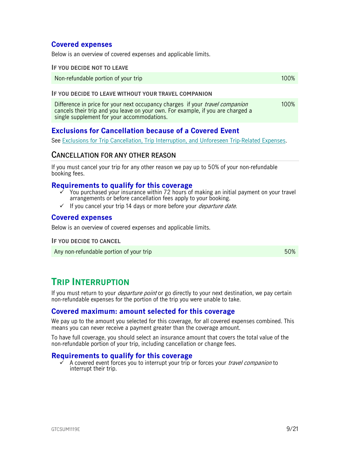## <span id="page-8-0"></span>**Covered expenses**

Below is an overview of covered expenses and applicable limits.

#### **IF YOU DECIDE NOT TO LEAVE**

Non-refundable portion of your trip 100% and the state of the state of the 100% of the 100% of the 100% of the  $100\%$ 

#### **IF YOU DECIDE TO LEAVE WITHOUT YOUR TRAVEL COMPANION**

Difference in price for your next occupancy charges if your *travel companion* cancels their trip and you leave on your own. For example, if you are charged a single supplement for your accommodations. 100%

## <span id="page-8-1"></span>**Exclusions for Cancellation because of a Covered Event**

See [Exclusions for Trip Cancellation, Trip Interruption, and Unforeseen Trip-Related Expenses.](#page-13-0)

## <span id="page-8-2"></span>**CANCELLATION FOR ANY OTHER REASON**

If you must cancel your trip for any other reason we pay up to 50% of your non-refundable booking fees.

#### <span id="page-8-3"></span>**Requirements to qualify for this coverage**

- You purchased your insurance within 72 hours of making an initial payment on your travel arrangements or before cancellation fees apply to your booking.
- $\checkmark$  If you cancel your trip 14 days or more before your *departure date.*

#### <span id="page-8-4"></span>**Covered expenses**

Below is an overview of covered expenses and applicable limits.

**IF YOU DECIDE TO CANCEL**

<span id="page-8-5"></span>Any non-refundable portion of your trip 50%

## **TRIP INTERRUPTION**

If you must return to your *departure point* or go directly to your next destination, we pay certain non-refundable expenses for the portion of the trip you were unable to take.

### <span id="page-8-6"></span>**Covered maximum: amount selected for this coverage**

We pay up to the amount you selected for this coverage, for all covered expenses combined. This means you can never receive a payment greater than the coverage amount.

To have full coverage, you should select an insurance amount that covers the total value of the non-refundable portion of your trip, including cancellation or change fees.

#### <span id="page-8-7"></span>**Requirements to qualify for this coverage**

A covered event forces you to interrupt your trip or forces your *travel companion* to interrupt their trip.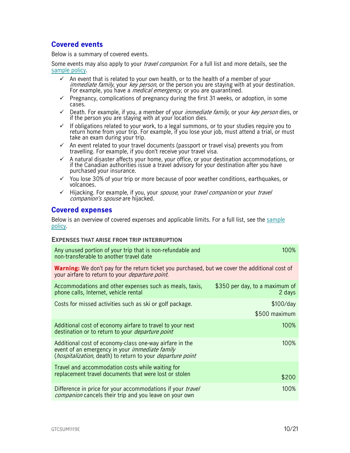## <span id="page-9-0"></span>**Covered events**

Below is a summary of covered events.

Some events may also apply to your *travel companion*. For a full list and more details, see the [sample policy.](https://www.igoinsured.com/travelcontent/?file=MS-MC_MS-GCS_policyTCI.pdf)

- $\checkmark$  An event that is related to your own health, or to the health of a member of your immediate family, your key person, or the person you are staying with at your destination. For example, you have a *medical emergency,* or you are quarantined.
- $\checkmark$  Pregnancy, complications of pregnancy during the first 31 weeks, or adoption, in some cases.
- $\checkmark$  Death. For example, if you, a member of your *immediate family*, or your *key person* dies, or if the person you are staying with at your location dies.
- $\checkmark$  If obligations related to your work, to a legal summons, or to your studies require you to return home from your trip. For example, if you lose your job, must attend a trial, or must take an exam during your trip.
- $\checkmark$  An event related to your travel documents (passport or travel visa) prevents you from travelling. For example, if you don't receive your travel visa.
- $\checkmark$  A natural disaster affects your home, your office, or your destination accommodations, or if the Canadian authorities issue a travel advisory for your destination after you have purchased your insurance.
- $\checkmark$  You lose 30% of your trip or more because of poor weather conditions, earthquakes, or volcanoes.
- $\checkmark$  Hijacking. For example, if you, your spouse, your travel companion or your travel companion's spouse are hijacked.

### <span id="page-9-1"></span>**Covered expenses**

Below is an overview of covered expenses and applicable limits. For a full list, see the [sample](https://www.igoinsured.com/travelcontent/?file=MS-MC_MS-GCS_policyTCI.pdf)  [policy.](https://www.igoinsured.com/travelcontent/?file=MS-MC_MS-GCS_policyTCI.pdf)

#### **EXPENSES THAT ARISE FROM TRIP INTERRUPTION**

| Any unused portion of your trip that is non-refundable and<br>non-transferable to another travel date                                                                                          | 100%                                     |
|------------------------------------------------------------------------------------------------------------------------------------------------------------------------------------------------|------------------------------------------|
| <b>Warning:</b> We don't pay for the return ticket you purchased, but we cover the additional cost of<br>your airfare to return to your <i>departure point</i> .                               |                                          |
| Accommodations and other expenses such as meals, taxis,<br>phone calls, Internet, vehicle rental                                                                                               | \$350 per day, to a maximum of<br>2 days |
| Costs for missed activities such as ski or golf package.                                                                                                                                       | \$100/day                                |
|                                                                                                                                                                                                | \$500 maximum                            |
| Additional cost of economy airfare to travel to your next<br>destination or to return to your <i>departure point</i>                                                                           | 100%                                     |
| Additional cost of economy-class one-way airfare in the<br>event of an emergency in your <i>immediate family</i><br>( <i>hospitalization</i> , death) to return to your <i>departure point</i> | 100%                                     |
| Travel and accommodation costs while waiting for<br>replacement travel documents that were lost or stolen                                                                                      | \$200                                    |
| Difference in price for your accommodations if your travel<br><i>companion</i> cancels their trip and you leave on your own                                                                    | 100%                                     |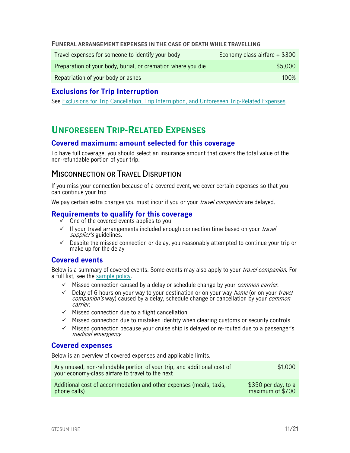#### **FUNERAL ARRANGEMENT EXPENSES IN THE CASE OF DEATH WHILE TRAVELLING**

| Travel expenses for someone to identify your body            | Economy class airfare $+$ \$300 |
|--------------------------------------------------------------|---------------------------------|
| Preparation of your body, burial, or cremation where you die | \$5,000                         |
| Repatriation of your body or ashes                           | $100\%$                         |

## <span id="page-10-0"></span>**Exclusions for Trip Interruption**

<span id="page-10-1"></span>See [Exclusions for Trip Cancellation, Trip Interruption, and Unforeseen Trip-Related Expenses.](#page-13-0)

## **UNFORESEEN TRIP-RELATED EXPENSES**

### <span id="page-10-2"></span>**Covered maximum: amount selected for this coverage**

To have full coverage, you should select an insurance amount that covers the total value of the non-refundable portion of your trip.

## <span id="page-10-3"></span>**MISCONNECTION OR TRAVEL DISRUPTION**

If you miss your connection because of a covered event, we cover certain expenses so that you can continue your trip

We pay certain extra charges you must incur if you or your *travel companion* are delayed.

## <span id="page-10-4"></span>**Requirements to qualify for this coverage**

- One of the covered events applies to you
- $\checkmark$  If your travel arrangements included enough connection time based on your *travel* supplier's guidelines.
- $\checkmark$  Despite the missed connection or delay, you reasonably attempted to continue your trip or make up for the delay

## <span id="page-10-5"></span>**Covered events**

Below is a summary of covered events. Some events may also apply to your *travel companion*. For a full list, see the [sample policy.](https://www.igoinsured.com/travelcontent/?file=MS-MC_MS-GCS_policyTCI.pdf)

- $\checkmark$  Missed connection caused by a delay or schedule change by your *common carrier*.
- $\checkmark$  Delay of 6 hours on your way to your destination or on your way *home* (or on your *travel* companion's way) caused by a delay, schedule change or cancellation by your *common* carrier.
- $\checkmark$  Missed connection due to a flight cancellation
- $\checkmark$  Missed connection due to mistaken identity when clearing customs or security controls
- $\checkmark$  Missed connection because your cruise ship is delayed or re-routed due to a passenger's medical emergency

### <span id="page-10-6"></span>**Covered expenses**

Below is an overview of covered expenses and applicable limits.

| Any unused, non-refundable portion of your trip, and additional cost of<br>your economy-class airfare to travel to the next | \$1,000              |
|-----------------------------------------------------------------------------------------------------------------------------|----------------------|
| Additional cost of accommodation and other expenses (meals, taxis,                                                          | $$350$ per day, to a |
| phone calls)                                                                                                                | maximum of \$700     |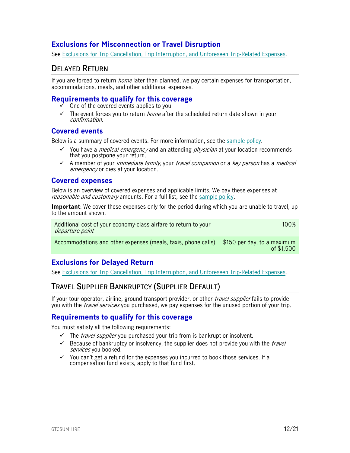## <span id="page-11-0"></span>**Exclusions for Misconnection or Travel Disruption**

See [Exclusions for Trip Cancellation, Trip Interruption, and Unforeseen Trip-Related Expenses.](#page-13-0)

## <span id="page-11-1"></span>**DELAYED RETURN**

If you are forced to return *home* later than planned, we pay certain expenses for transportation, accommodations, meals, and other additional expenses.

## <span id="page-11-2"></span>**Requirements to qualify for this coverage**

- One of the covered events applies to you
- $\checkmark$  The event forces you to return *home* after the scheduled return date shown in your confirmation.

## <span id="page-11-3"></span>**Covered events**

Below is a summary of covered events. For more information, see the [sample policy.](https://www.igoinsured.com/travelcontent/?file=MS-MC_MS-GCS_policyTCI.pdf)

- You have a *medical emergency* and an attending *physician* at your location recommends that you postpone your return.
- $\checkmark$  A member of your *immediate family*, your *travel companion* or a *key person* has a *medical* emergency or dies at your location.

## <span id="page-11-4"></span>**Covered expenses**

Below is an overview of covered expenses and applicable limits. We pay these expenses at reasonable and customary amounts. For a full list, see the [sample policy.](https://www.igoinsured.com/travelcontent/?file=MS-MC_MS-GCS_policyTCI.pdf)

**Important**: We cover these expenses only for the period during which you are unable to travel, up to the amount shown.

Additional cost of your economy-class airfare to return to your departure point 100%

Accommodations and other expenses (meals, taxis, phone calls) \$150 per day, to a maximum of \$1,500

## <span id="page-11-5"></span>**Exclusions for Delayed Return**

See [Exclusions for Trip Cancellation, Trip Interruption, and Unforeseen Trip-Related Expenses.](#page-13-0)

## <span id="page-11-6"></span>**TRAVEL SUPPLIER BANKRUPTCY (SUPPLIER DEFAULT)**

If your tour operator, airline, ground transport provider, or other *travel supplier* fails to provide you with the *travel services* you purchased, we pay expenses for the unused portion of your trip.

## <span id="page-11-7"></span>**Requirements to qualify for this coverage**

You must satisfy all the following requirements:

- $\checkmark$  The *travel supplier* you purchased your trip from is bankrupt or insolvent.
- $\checkmark$  Because of bankruptcy or insolvency, the supplier does not provide you with the *travel* services you booked.
- $\checkmark$  You can't get a refund for the expenses you incurred to book those services. If a compensation fund exists, apply to that fund first.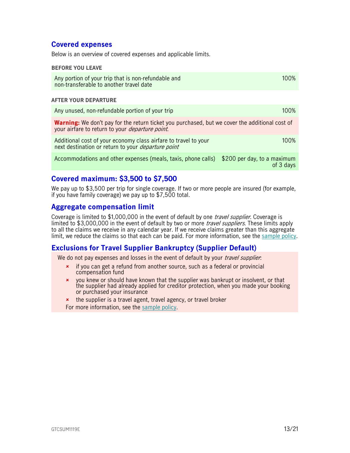## <span id="page-12-0"></span>**Covered expenses**

Below is an overview of covered expenses and applicable limits.

#### **BEFORE YOU LEAVE**

| Any portion of your trip that is non-refundable and | 100% |
|-----------------------------------------------------|------|
| non-transferable to another travel date             |      |

#### **AFTER YOUR DEPARTURE**

| Any unused, non-refundable portion of your trip                                                                                                                  | $100\%$ |
|------------------------------------------------------------------------------------------------------------------------------------------------------------------|---------|
| <b>Warning:</b> We don't pay for the return ticket you purchased, but we cover the additional cost of<br>your airfare to return to your <i>departure point</i> . |         |
| Additional cost of your economy class airfare to travel to your<br>next destination or return to your <i>departure point</i>                                     | $100\%$ |
| Accommodations and other expenses (meals, taxis, phone calls) \$200 per day, to a maximum                                                                        |         |

## <span id="page-12-1"></span>**Covered maximum: \$3,500 to \$7,500**

We pay up to \$3,500 per trip for single coverage. If two or more people are insured (for example, if you have family coverage) we pay up to \$7,500 total.

### <span id="page-12-2"></span>**Aggregate compensation limit**

Coverage is limited to \$1,000,000 in the event of default by one *travel supplier*. Coverage is limited to \$3,000,000 in the event of default by two or more *travel suppliers*. These limits apply to all the claims we receive in any calendar year. If we receive claims greater than this aggregate limit, we reduce the claims so that each can be paid. For more information, see the [sample policy.](https://www.igoinsured.com/travelcontent/?file=MS-MC_MS-GCS_policyTCI.pdf)

## <span id="page-12-3"></span>**Exclusions for Travel Supplier Bankruptcy (Supplier Default)**

We do not pay expenses and losses in the event of default by your *travel supplier*:

- **\*** if you can get a refund from another source, such as a federal or provincial compensation fund
- you knew or should have known that the supplier was bankrupt or insolvent, or that the supplier had already applied for creditor protection, when you made your booking or purchased your insurance
- **\*** the supplier is a travel agent, travel agency, or travel broker For more information, see the [sample policy.](https://www.igoinsured.com/travelcontent/?file=MS-MC_MS-GCS_policyTCI.pdf)

of 3 days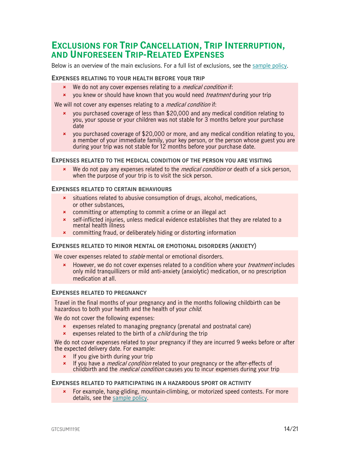## <span id="page-13-0"></span>**EXCLUSIONS FOR TRIP CANCELLATION, TRIP INTERRUPTION, AND UNFORESEEN TRIP-RELATED EXPENSES**

Below is an overview of the main exclusions. For a full list of exclusions, see the [sample policy.](https://www.igoinsured.com/travelcontent/?file=MS-MC_MS-GCS_policyTCI.pdf)

#### **EXPENSES RELATING TO YOUR HEALTH BEFORE YOUR TRIP**

- **\*** We do not any cover expenses relating to a *medical condition* if:
- **x** you knew or should have known that you would need *treatment* during your trip

We will not cover any expenses relating to a *medical condition* if:

- you purchased coverage of less than \$20,000 and any medical condition relating to you, your spouse or your children was not stable for 3 months before your purchase date
- you purchased coverage of \$20,000 or more, and any medical condition relating to you, a member of your immediate family, your key person, or the person whose guest you are during your trip was not stable for 12 months before your purchase date.

#### **EXPENSES RELATED TO THE MEDICAL CONDITION OF THE PERSON YOU ARE VISITING**

We do not pay any expenses related to the *medical condition* or death of a sick person, when the purpose of your trip is to visit the sick person.

#### **EXPENSES RELATED TO CERTAIN BEHAVIOURS**

- **x** situations related to abusive consumption of drugs, alcohol, medications, or other substances,
- **\*** committing or attempting to commit a crime or an illegal act
- self-inflicted injuries, unless medical evidence establishes that they are related to a mental health illness
- committing fraud, or deliberately hiding or distorting information

#### **EXPENSES RELATED TO MINOR MENTAL OR EMOTIONAL DISORDERS (ANXIETY)**

We cover expenses related to *stable* mental or emotional disorders.

**EX** However, we do not cover expenses related to a condition where your *treatment* includes only mild tranquillizers or mild anti-anxiety (anxiolytic) medication, or no prescription medication at all.

#### **EXPENSES RELATED TO PREGNANCY**

Travel in the final months of your pregnancy and in the months following childbirth can be hazardous to both your health and the health of your *child*.

We do not cover the following expenses:

- expenses related to managing pregnancy (prenatal and postnatal care)
- **x** expenses related to the birth of a *child* during the trip

We do not cover expenses related to your pregnancy if they are incurred 9 weeks before or after the expected delivery date. For example:

- $\vert x \vert$  If you give birth during your trip
- If you have a *medical condition* related to your pregnancy or the after-effects of childbirth and the *medical condition* causes you to incur expenses during your trip

#### **EXPENSES RELATED TO PARTICIPATING IN A HAZARDOUS SPORT OR ACTIVITY**

 For example, hang-gliding, mountain-climbing, or motorized speed contests. For more details, see the [sample policy.](https://www.igoinsured.com/travelcontent/?file=MS-MC_MS-GCS_policyTCI.pdf)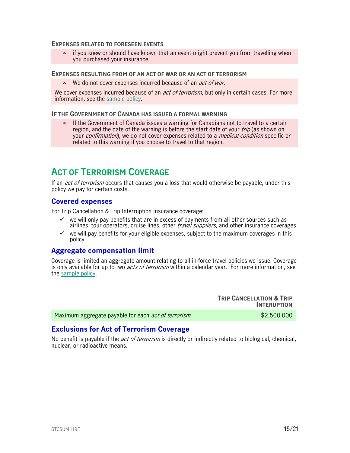#### **EXPENSES RELATED TO FORESEEN EVENTS**

 $\star$  if you knew or should have known that an event might prevent you from travelling when you purchased your insurance

#### **EXPENSES RESULTING FROM OF AN ACT OF WAR OR AN ACT OF TERRORISM**

**\*** We do not cover expenses incurred because of an *act of war*.

We cover expenses incurred because of an *act of terrorism*, but only in certain cases. For more information, see the [sample policy.](https://www.igoinsured.com/travelcontent/?file=MS-MC_MS-GCS_policyTCI.pdf)

#### **IF THE GOVERNMENT OF CANADA HAS ISSUED A FORMAL WARNING**

\* If the Government of Canada issues a warning for Canadians not to travel to a certain region, and the date of the warning is before the start date of your *trip* (as shown on your *confirmation*), we do not cover expenses related to a *medical condition* specific or related to this warning if you choose to travel to that region.

## <span id="page-14-0"></span>**ACT OF TERRORISM COVERAGE**

If an *act of terrorism* occurs that causes you a loss that would otherwise be payable, under this policy we pay for certain costs.

#### <span id="page-14-1"></span>**Covered expenses**

For Trip Cancellation & Trip Interruption Insurance coverage:

- $\checkmark$  we will only pay benefits that are in excess of payments from all other sources such as airlines, tour operators, cruise lines, other *travel suppliers*, and other insurance coverages
- $\checkmark$  we will pay benefits for your eligible expenses, subject to the maximum coverages in this policy

### <span id="page-14-2"></span>**Aggregate compensation limit**

Coverage is limited an aggregate amount relating to all in-force travel policies we issue. Coverage is only available for up to two *acts of terrorism* within a calendar year. For more information, see the [sample policy.](https://www.igoinsured.com/travelcontent/?file=MS-MC_MS-GCS_policyTCI.pdf)

|                                                            | <b>TRIP CANCELLATION &amp; TRIP</b><br><b>INTERUPTION</b> |
|------------------------------------------------------------|-----------------------------------------------------------|
| Maximum aggregate payable for each <i>act of terrorism</i> | \$2,500,000                                               |

## <span id="page-14-3"></span>**Exclusions for Act of Terrorism Coverage**

No benefit is payable if the *act of terrorism* is directly or indirectly related to biological, chemical, nuclear, or radioactive means.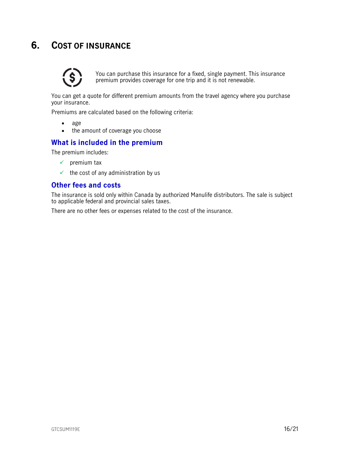## <span id="page-15-0"></span>**6. COST OF INSURANCE**



You can purchase this insurance for a fixed, single payment. This insurance premium provides coverage for one trip and it is not renewable.

You can get a quote for different premium amounts from the travel agency where you purchase your insurance.

Premiums are calculated based on the following criteria:

- age
- the amount of coverage you choose

### <span id="page-15-1"></span>**What is included in the premium**

The premium includes:

- $\checkmark$  premium tax
- $\checkmark$  the cost of any administration by us

### <span id="page-15-2"></span>**Other fees and costs**

The insurance is sold only within Canada by authorized Manulife distributors. The sale is subject to applicable federal and provincial sales taxes.

There are no other fees or expenses related to the cost of the insurance.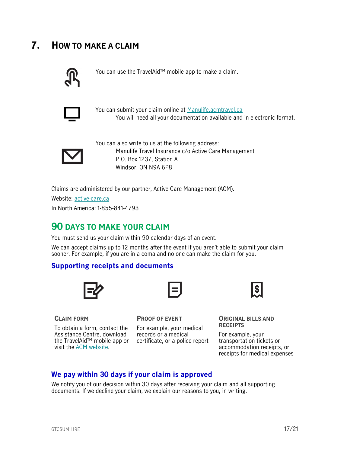## <span id="page-16-0"></span>**7. HOW TO MAKE A CLAIM**



You can use the TravelAid™ mobile app to make a claim.



You can submit your claim online at [Manulife.acmtravel.ca](https://manulife.acmtravel.ca/accounts/login/) You will need all your documentation available and in electronic format.



You can also write to us at the following address: Manulife Travel Insurance c/o Active Care Management P.O. Box 1237, Station A Windsor, ON N9A 6P8

Claims are administered by our partner, Active Care Management (ACM).

Website: [active-care.ca](http://www.active-care.ca/)

In North America: 1-855-841-4793

## <span id="page-16-1"></span>**90 DAYS TO MAKE YOUR CLAIM**

You must send us your claim within 90 calendar days of an event.

We can accept claims up to 12 months after the event if you aren't able to submit your claim sooner. For example, if you are in a coma and no one can make the claim for you.

## <span id="page-16-2"></span>**Supporting receipts and documents**



## **CLAIM FORM**

To obtain a form, contact the Assistance Centre, download the TravelAid™ mobile app or certificate, or a police report visit the [ACM website.](https://www.active-care.ca/claims/)

**PROOF OF EVENT**

For example, your medical records or a medical



**ORIGINAL BILLS AND RECEIPTS** 

For example, your transportation tickets or accommodation receipts, or receipts for medical expenses

## <span id="page-16-3"></span>**We pay within 30 days if your claim is approved**

We notify you of our decision within 30 days after receiving your claim and all supporting documents. If we decline your claim, we explain our reasons to you, in writing.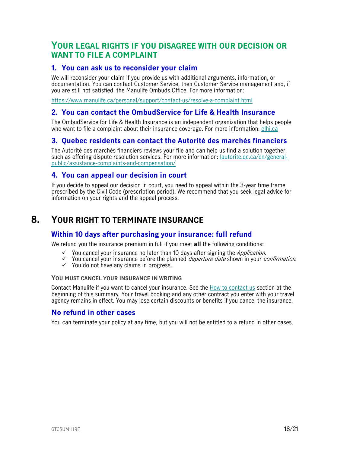## <span id="page-17-1"></span>**YOUR LEGAL RIGHTS IF YOU DISAGREE WITH OUR DECISION OR WANT TO FILE A COMPLAINT**

## <span id="page-17-2"></span>**1. You can ask us to reconsider your claim**

We will reconsider your claim if you provide us with additional arguments, information, or documentation. You can contact Customer Service, then Customer Service management and, if you are still not satisfied, the Manulife Ombuds Office. For more information:

<https://www.manulife.ca/personal/support/contact-us/resolve-a-complaint.html>

## <span id="page-17-3"></span>**2. You can contact the OmbudService for Life & Health Insurance**

The OmbudService for Life & Health Insurance is an independent organization that helps people who want to file a complaint about their insurance coverage. For more information: [olhi.ca](http://www.olhi.ca/)

## <span id="page-17-4"></span>**3. Quebec residents can contact the Autorité des marchés financiers**

The Autorité des marchés financiers reviews your file and can help us find a solution together, such as offering dispute resolution services. For more information: [lautorite.qc.ca/en/general](https://lautorite.qc.ca/en/general-public/assistance-and-complaints/)[public/assistance-complaints-and-compensation/](https://lautorite.qc.ca/en/general-public/assistance-and-complaints/)

## <span id="page-17-5"></span>**4. You can appeal our decision in court**

<span id="page-17-0"></span>If you decide to appeal our decision in court, you need to appeal within the 3-year time frame prescribed by the Civil Code (prescription period). We recommend that you seek legal advice for information on your rights and the appeal process.

## **8. YOUR RIGHT TO TERMINATE INSURANCE**

## <span id="page-17-6"></span>**Within 10 days after purchasing your insurance: full refund**

We refund you the insurance premium in full if you meet **all** the following conditions:

- $\checkmark$  You cancel your insurance no later than 10 days after signing the *Application*.
- $\checkmark$  You cancel your insurance before the planned *departure date* shown in your *confirmation*.
- $\checkmark$  You do not have any claims in progress.

#### **YOU MUST CANCEL YOUR INSURANCE IN WRITING**

Contact Manulife if you want to cancel your insurance. See the [How to contact us](#page-1-0) section at the beginning of this summary. Your travel booking and any other contract you enter with your travel agency remains in effect. You may lose certain discounts or benefits if you cancel the insurance.

## <span id="page-17-7"></span>**No refund in other cases**

You can terminate your policy at any time, but you will not be entitled to a refund in other cases.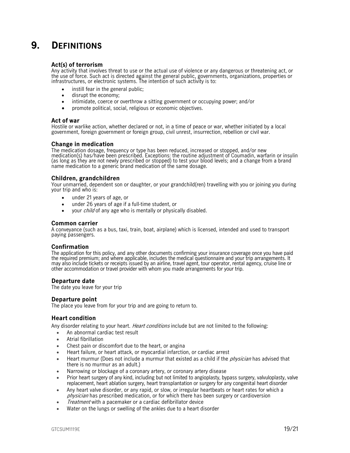## <span id="page-18-0"></span>**9. DEFINITIONS**

#### **Act(s) of terrorism**

Any activity that involves threat to use or the actual use of violence or any dangerous or threatening act, or the use of force. Such act is directed against the general public, governments, organizations, properties or infrastructures, or electronic systems. The intention of such activity is to:

- instill fear in the general public:
- disrupt the economy;
- intimidate, coerce or overthrow a sitting government or occupying power; and/or
- promote political, social, religious or economic objectives.

#### **Act of war**

Hostile or warlike action, whether declared or not, in a time of peace or war, whether initiated by a local government, foreign government or foreign group, civil unrest, insurrection, rebellion or civil war.

#### **Change in medication**

The medication dosage, frequency or type has been reduced, increased or stopped, and/or new medication(s) has/have been prescribed. Exceptions: the routine adjustment of Coumadin, warfarin or insulin (as long as they are not newly prescribed or stopped) to test your blood levels; and a change from a brand name medication to a generic brand medication of the same dosage.

#### **Children, grandchildren**

Your unmarried, dependent son or daughter, or your grandchild(ren) travelling with you or joining you during your trip and who is:

- under 21 years of age, or
- under 26 years of age if a full-time student, or
- your *child* of any age who is mentally or physically disabled.

#### **Common carrier**

A conveyance (such as a bus, taxi, train, boat, airplane) which is licensed, intended and used to transport paying passengers.

#### **Confirmation**

The application for this policy, and any other documents confirming your insurance coverage once you have paid the required premium; and where applicable, includes the medical questionnaire and your trip arrangements. It may also include tickets or receipts issued by an airline, travel agent, tour operator, rental agency, cruise line or other accommodation or travel provider with whom you made arrangements for your trip.

#### **Departure date**

The date you leave for your trip

#### **Departure point**

The place you leave from for your trip and are going to return to.

#### **Heart condition**

Any disorder relating to your heart. *Heart conditions* include but are not limited to the following:

- An abnormal cardiac test result
- Atrial fibrillation
- Chest pain or discomfort due to the heart, or angina
- Heart failure, or heart attack, or myocardial infarction, or cardiac arrest
- Heart murmur (Does not include a murmur that existed as a child if the *physician* has advised that there is no murmur as an adult.)
- Narrowing or blockage of a coronary artery, or coronary artery disease
- Prior heart surgery of any kind, including but not limited to angioplasty, bypass surgery, valvuloplasty, valve replacement, heart ablation surgery, heart transplantation or surgery for any congenital heart disorder
- Any heart valve disorder, or any rapid, or slow, or irregular heartbeats or heart rates for which a physician has prescribed medication, or for which there has been surgery or cardioversion
- Treatment with a pacemaker or a cardiac defibrillator device
- Water on the lungs or swelling of the ankles due to a heart disorder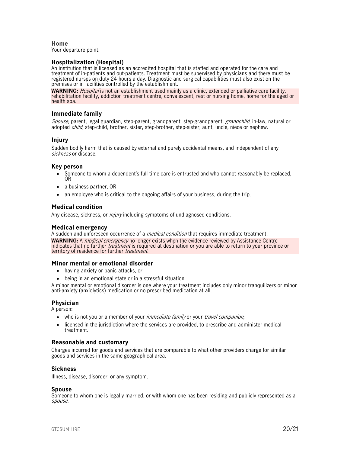**Home**  Your departure point.

#### **Hospitalization (Hospital)**

An institution that is licensed as an accredited hospital that is staffed and operated for the care and treatment of in-patients and out-patients. Treatment must be supervised by physicians and there must be registered nurses on duty 24 hours a day. Diagnostic and surgical capabilities must also exist on the premises or in facilities controlled by the establishment.

**WARNING:** Hospital is not an establishment used mainly as a clinic, extended or palliative care facility, rehabilitation facility, addiction treatment centre, convalescent, rest or nursing home, home for the aged or health spa.

#### **Immediate family**

Spouse, parent, legal guardian, step-parent, grandparent, step-grandparent, grandchild, in-law, natural or adopted *child*, step-child, brother, sister, step-brother, step-sister, aunt, uncle, niece or nephew.

#### **Injury**

Sudden bodily harm that is caused by external and purely accidental means, and independent of any sickness or disease.

#### **Key person**

- Someone to whom a dependent's full-time care is entrusted and who cannot reasonably be replaced, OR
- a business partner, OR
- an employee who is critical to the ongoing affairs of your business, during the trip.

#### **Medical condition**

Any disease, sickness, or *injury* including symptoms of undiagnosed conditions.

#### **Medical emergency**

A sudden and unforeseen occurrence of a *medical condition* that requires immediate treatment. **WARNING:** A medical emergency no longer exists when the evidence reviewed by Assistance Centre indicates that no further *treatment* is required at destination or you are able to return to your province or territory of residence for further treatment.

#### **Minor mental or emotional disorder**

- having anxiety or panic attacks, or
- being in an emotional state or in a stressful situation.

A minor mental or emotional disorder is one where your treatment includes only minor tranquilizers or minor anti-anxiety (anxiolytics) medication or no prescribed medication at all.

#### **Physician**

A person:

- who is not you or a member of your *immediate family* or your *travel companion*;
- licensed in the jurisdiction where the services are provided, to prescribe and administer medical treatment.

#### **Reasonable and customary**

Charges incurred for goods and services that are comparable to what other providers charge for similar goods and services in the same geographical area.

#### **Sickness**

Illness, disease, disorder, or any symptom.

#### **Spouse**

Someone to whom one is legally married, or with whom one has been residing and publicly represented as a spouse.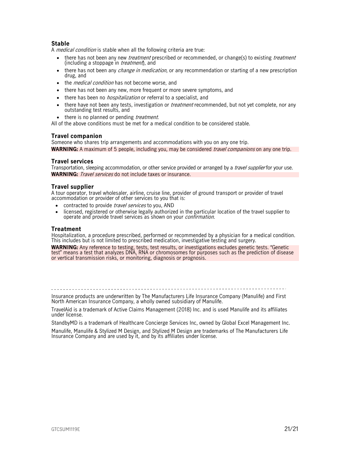### **Stable**

A *medical condition* is stable when all the following criteria are true:

- there has not been any new *treatment* prescribed or recommended, or change(s) to existing *treatment* (including a stoppage in *treatment*), and
- there has not been any *change in medication*, or any recommendation or starting of a new prescription drug, and
- the *medical condition* has not become worse, and
- there has not been any new, more frequent or more severe symptoms, and
- there has been no *hospitalization* or referral to a specialist, and
- there have not been any tests, investigation or *treatment* recommended, but not yet complete, nor any outstanding test results, and
- there is no planned or pending *treatment*.

All of the above conditions must be met for a medical condition to be considered stable.

#### **Travel companion**

Someone who shares trip arrangements and accommodations with you on any one trip. **WARNING:** A maximum of 5 people, including you, may be considered *travel companions* on any one trip.

#### **Travel services**

Transportation, sleeping accommodation, or other service provided or arranged by a *travel supplier* for your use. **WARNING:** Travel services do not include taxes or insurance.

#### **Travel supplier**

A tour operator, travel wholesaler, airline, cruise line, provider of ground transport or provider of travel accommodation or provider of other services to you that is:

- contracted to provide travel services to you, AND
- licensed, registered or otherwise legally authorized in the particular location of the travel supplier to operate and provide travel services as shown on your confirmation.

#### **Treatment**

Hospitalization, a procedure prescribed, performed or recommended by a physician for a medical condition. This includes but is not limited to prescribed medication, investigative testing and surgery.

**WARNING:** Any reference to testing, tests, test results, or investigations excludes genetic tests. "Genetic test" means a test that analyzes DNA, RNA or chromosomes for purposes such as the prediction of disease or vertical transmission risks, or monitoring, diagnosis or prognosis.

Insurance products are underwritten by The Manufacturers Life Insurance Company (Manulife) and First North American Insurance Company, a wholly owned subsidiary of Manulife.

TravelAid is a trademark of Active Claims Management (2018) Inc. and is used Manulife and its affiliates under license.

StandbyMD is a trademark of Healthcare Concierge Services Inc, owned by Global Excel Management Inc.

Manulife, Manulife & Stylized M Design, and Stylized M Design are trademarks of The Manufacturers Life Insurance Company and are used by it, and by its affiliates under license.